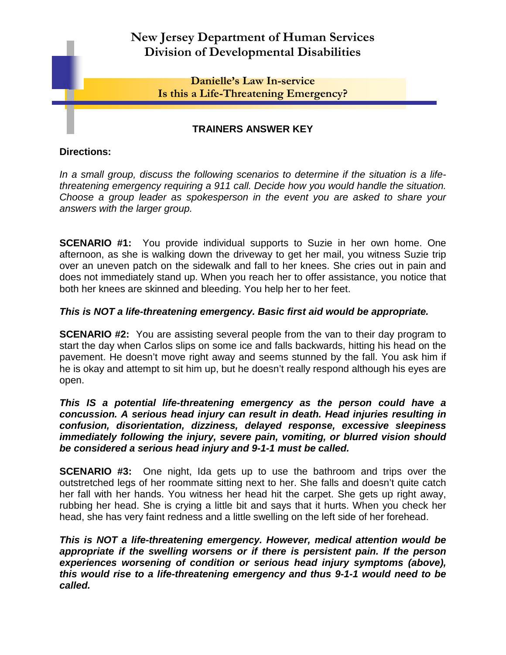# **New Jersey Department of Human Services Division of Developmental Disabilities**

# **Danielle's Law In-service Is this a Life-Threatening Emergency?**

# **TRAINERS ANSWER KEY**

### **Directions:**

*In a small group, discuss the following scenarios to determine if the situation is a lifethreatening emergency requiring a 911 call. Decide how you would handle the situation. Choose a group leader as spokesperson in the event you are asked to share your answers with the larger group.* 

**SCENARIO #1:** You provide individual supports to Suzie in her own home. One afternoon, as she is walking down the driveway to get her mail, you witness Suzie trip over an uneven patch on the sidewalk and fall to her knees. She cries out in pain and does not immediately stand up. When you reach her to offer assistance, you notice that both her knees are skinned and bleeding. You help her to her feet.

## *This is NOT a life-threatening emergency. Basic first aid would be appropriate.*

**SCENARIO #2:** You are assisting several people from the van to their day program to start the day when Carlos slips on some ice and falls backwards, hitting his head on the pavement. He doesn't move right away and seems stunned by the fall. You ask him if he is okay and attempt to sit him up, but he doesn't really respond although his eyes are open.

*This IS a potential life-threatening emergency as the person could have a concussion. A serious head injury can result in death. Head injuries resulting in confusion, disorientation, dizziness, delayed response, excessive sleepiness immediately following the injury, severe pain, vomiting, or blurred vision should be considered a serious head injury and 9-1-1 must be called.*

**SCENARIO #3:** One night, Ida gets up to use the bathroom and trips over the outstretched legs of her roommate sitting next to her. She falls and doesn't quite catch her fall with her hands. You witness her head hit the carpet. She gets up right away, rubbing her head. She is crying a little bit and says that it hurts. When you check her head, she has very faint redness and a little swelling on the left side of her forehead.

*This is NOT a life-threatening emergency. However, medical attention would be appropriate if the swelling worsens or if there is persistent pain. If the person experiences worsening of condition or serious head injury symptoms (above), this would rise to a life-threatening emergency and thus 9-1-1 would need to be called.*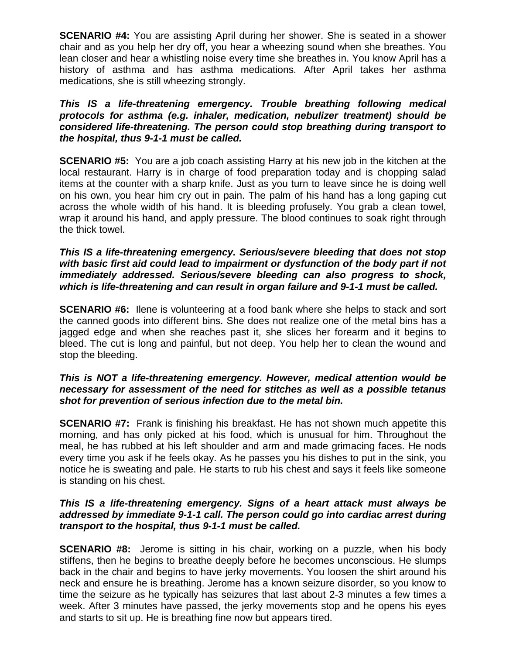**SCENARIO #4:** You are assisting April during her shower. She is seated in a shower chair and as you help her dry off, you hear a wheezing sound when she breathes. You lean closer and hear a whistling noise every time she breathes in. You know April has a history of asthma and has asthma medications. After April takes her asthma medications, she is still wheezing strongly.

#### *This IS a life-threatening emergency. Trouble breathing following medical protocols for asthma (e.g. inhaler, medication, nebulizer treatment) should be considered life-threatening. The person could stop breathing during transport to the hospital, thus 9-1-1 must be called.*

**SCENARIO #5:** You are a job coach assisting Harry at his new job in the kitchen at the local restaurant. Harry is in charge of food preparation today and is chopping salad items at the counter with a sharp knife. Just as you turn to leave since he is doing well on his own, you hear him cry out in pain. The palm of his hand has a long gaping cut across the whole width of his hand. It is bleeding profusely. You grab a clean towel, wrap it around his hand, and apply pressure. The blood continues to soak right through the thick towel.

#### *This IS a life-threatening emergency. Serious/severe bleeding that does not stop with basic first aid could lead to impairment or dysfunction of the body part if not immediately addressed. Serious/severe bleeding can also progress to shock, which is life-threatening and can result in organ failure and 9-1-1 must be called.*

**SCENARIO #6:** Ilene is volunteering at a food bank where she helps to stack and sort the canned goods into different bins. She does not realize one of the metal bins has a jagged edge and when she reaches past it, she slices her forearm and it begins to bleed. The cut is long and painful, but not deep. You help her to clean the wound and stop the bleeding.

## *This is NOT a life-threatening emergency. However, medical attention would be necessary for assessment of the need for stitches as well as a possible tetanus shot for prevention of serious infection due to the metal bin.*

**SCENARIO #7:** Frank is finishing his breakfast. He has not shown much appetite this morning, and has only picked at his food, which is unusual for him. Throughout the meal, he has rubbed at his left shoulder and arm and made grimacing faces. He nods every time you ask if he feels okay. As he passes you his dishes to put in the sink, you notice he is sweating and pale. He starts to rub his chest and says it feels like someone is standing on his chest.

#### *This IS a life-threatening emergency. Signs of a heart attack must always be addressed by immediate 9-1-1 call. The person could go into cardiac arrest during transport to the hospital, thus 9-1-1 must be called.*

**SCENARIO #8:** Jerome is sitting in his chair, working on a puzzle, when his body stiffens, then he begins to breathe deeply before he becomes unconscious. He slumps back in the chair and begins to have jerky movements. You loosen the shirt around his neck and ensure he is breathing. Jerome has a known seizure disorder, so you know to time the seizure as he typically has seizures that last about 2-3 minutes a few times a week. After 3 minutes have passed, the jerky movements stop and he opens his eyes and starts to sit up. He is breathing fine now but appears tired.